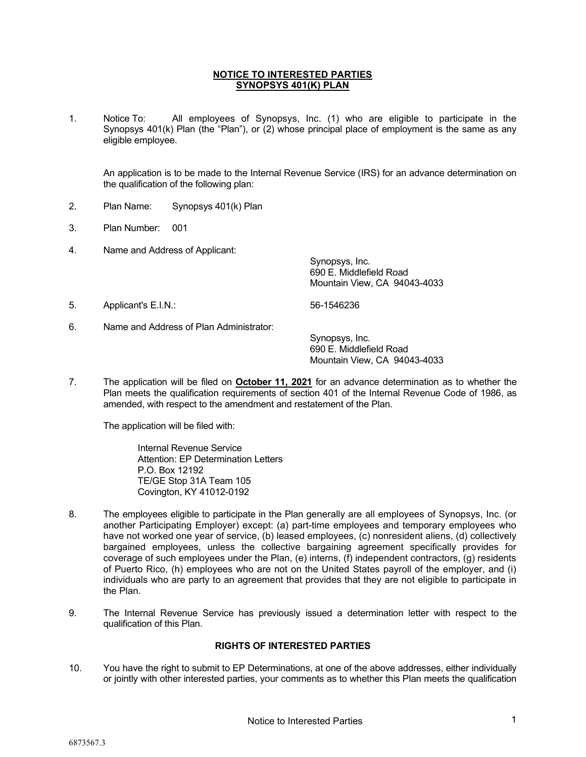### NOTICE TO INTERESTED PARTIES SYNOPSYS 401(K) PLAN

1. Notice To: All employees of Synopsys, Inc. (1) who are eligible to participate in the Synopsys 401(k) Plan (the "Plan"), or (2) whose principal place of employment is the same as any eligible employee.

 An application is to be made to the Internal Revenue Service (IRS) for an advance determination on the qualification of the following plan:

- 2. Plan Name: Synopsys 401(k) Plan
- 3. Plan Number: 001
- 4. Name and Address of Applicant:

 Synopsys, Inc. 690 E. Middlefield Road Mountain View, CA 94043-4033

5. Applicant's E.I.N.: 56-1546236

6. Name and Address of Plan Administrator:

 Synopsys, Inc. 690 E. Middlefield Road Mountain View, CA 94043-4033

7. The application will be filed on **October 11, 2021** for an advance determination as to whether the Plan meets the qualification requirements of section 401 of the Internal Revenue Code of 1986, as amended, with respect to the amendment and restatement of the Plan.

The application will be filed with:

Internal Revenue Service Attention: EP Determination Letters P.O. Box 12192 TE/GE Stop 31A Team 105 Covington, KY 41012-0192

- 8. The employees eligible to participate in the Plan generally are all employees of Synopsys, Inc. (or another Participating Employer) except: (a) part-time employees and temporary employees who have not worked one year of service, (b) leased employees, (c) nonresident aliens, (d) collectively bargained employees, unless the collective bargaining agreement specifically provides for coverage of such employees under the Plan, (e) interns, (f) independent contractors, (g) residents of Puerto Rico, (h) employees who are not on the United States payroll of the employer, and (i) individuals who are party to an agreement that provides that they are not eligible to participate in the Plan.
- 9. The Internal Revenue Service has previously issued a determination letter with respect to the qualification of this Plan.

### RIGHTS OF INTERESTED PARTIES

10. You have the right to submit to EP Determinations, at one of the above addresses, either individually or jointly with other interested parties, your comments as to whether this Plan meets the qualification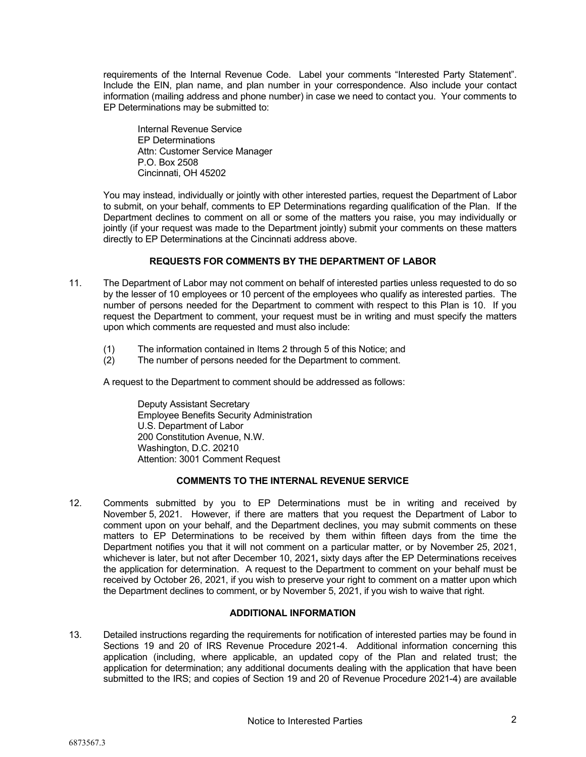requirements of the Internal Revenue Code. Label your comments "Interested Party Statement". Include the EIN, plan name, and plan number in your correspondence. Also include your contact information (mailing address and phone number) in case we need to contact you. Your comments to EP Determinations may be submitted to:

Internal Revenue Service EP Determinations Attn: Customer Service Manager P.O. Box 2508 Cincinnati, OH 45202

You may instead, individually or jointly with other interested parties, request the Department of Labor to submit, on your behalf, comments to EP Determinations regarding qualification of the Plan. If the Department declines to comment on all or some of the matters you raise, you may individually or jointly (if your request was made to the Department jointly) submit your comments on these matters directly to EP Determinations at the Cincinnati address above.

# REQUESTS FOR COMMENTS BY THE DEPARTMENT OF LABOR

- 11. The Department of Labor may not comment on behalf of interested parties unless requested to do so by the lesser of 10 employees or 10 percent of the employees who qualify as interested parties. The number of persons needed for the Department to comment with respect to this Plan is 10. If you request the Department to comment, your request must be in writing and must specify the matters upon which comments are requested and must also include:
	- (1) The information contained in Items 2 through 5 of this Notice; and
	- (2) The number of persons needed for the Department to comment.

A request to the Department to comment should be addressed as follows:

Deputy Assistant Secretary Employee Benefits Security Administration U.S. Department of Labor 200 Constitution Avenue, N.W. Washington, D.C. 20210 Attention: 3001 Comment Request

# COMMENTS TO THE INTERNAL REVENUE SERVICE

12. Comments submitted by you to EP Determinations must be in writing and received by November 5, 2021. However, if there are matters that you request the Department of Labor to comment upon on your behalf, and the Department declines, you may submit comments on these matters to EP Determinations to be received by them within fifteen days from the time the Department notifies you that it will not comment on a particular matter, or by November 25, 2021, whichever is later, but not after December 10, 2021, sixty days after the EP Determinations receives the application for determination. A request to the Department to comment on your behalf must be received by October 26, 2021, if you wish to preserve your right to comment on a matter upon which the Department declines to comment, or by November 5, 2021, if you wish to waive that right.

# ADDITIONAL INFORMATION

13. Detailed instructions regarding the requirements for notification of interested parties may be found in Sections 19 and 20 of IRS Revenue Procedure 2021-4. Additional information concerning this application (including, where applicable, an updated copy of the Plan and related trust; the application for determination; any additional documents dealing with the application that have been submitted to the IRS; and copies of Section 19 and 20 of Revenue Procedure 2021-4) are available